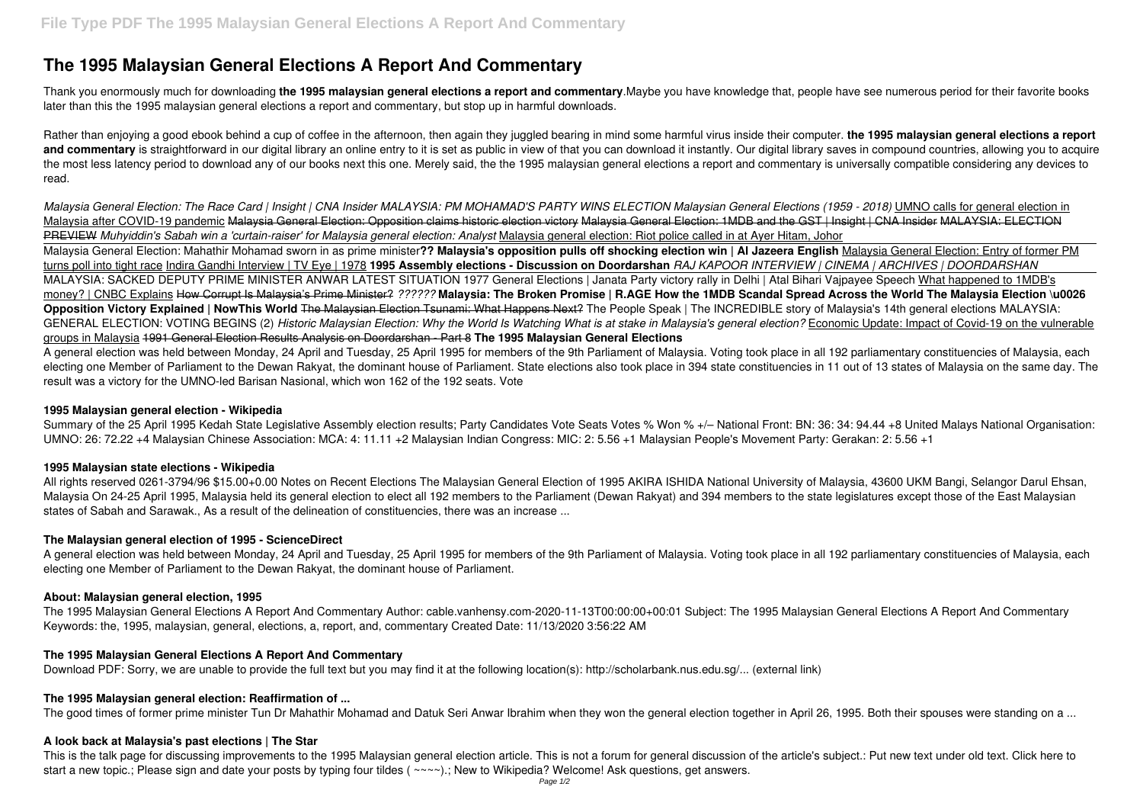# **The 1995 Malaysian General Elections A Report And Commentary**

Thank you enormously much for downloading **the 1995 malaysian general elections a report and commentary**.Maybe you have knowledge that, people have see numerous period for their favorite books later than this the 1995 malaysian general elections a report and commentary, but stop up in harmful downloads.

Rather than enjoying a good ebook behind a cup of coffee in the afternoon, then again they juggled bearing in mind some harmful virus inside their computer. **the 1995 malaysian general elections a report** and commentary is straightforward in our digital library an online entry to it is set as public in view of that you can download it instantly. Our digital library saves in compound countries, allowing you to acquire the most less latency period to download any of our books next this one. Merely said, the the 1995 malaysian general elections a report and commentary is universally compatible considering any devices to read.

Summary of the 25 April 1995 Kedah State Legislative Assembly election results; Party Candidates Vote Seats Votes % Won % +/- National Front: BN: 36: 34: 94.44 +8 United Malays National Organisation: UMNO: 26: 72.22 +4 Malaysian Chinese Association: MCA: 4: 11.11 +2 Malaysian Indian Congress: MIC: 2: 5.56 +1 Malaysian People's Movement Party: Gerakan: 2: 5.56 +1

*Malaysia General Election: The Race Card | Insight | CNA Insider MALAYSIA: PM MOHAMAD'S PARTY WINS ELECTION Malaysian General Elections (1959 - 2018)* UMNO calls for general election in Malaysia after COVID-19 pandemic Malaysia General Election: Opposition claims historic election victory Malaysia General Election: 1MDB and the GST | Insight | CNA Insider MALAYSIA: ELECTION PREVIEW *Muhyiddin's Sabah win a 'curtain-raiser' for Malaysia general election: Analyst* Malaysia general election: Riot police called in at Ayer Hitam, Johor Malaysia General Election: Mahathir Mohamad sworn in as prime minister**?? Malaysia's opposition pulls off shocking election win | Al Jazeera English** Malaysia General Election: Entry of former PM turns poll into tight race Indira Gandhi Interview | TV Eye | 1978 **1995 Assembly elections - Discussion on Doordarshan** *RAJ KAPOOR INTERVIEW | CINEMA | ARCHIVES | DOORDARSHAN* MALAYSIA: SACKED DEPUTY PRIME MINISTER ANWAR LATEST SITUATION 1977 General Elections | Janata Party victory rally in Delhi | Atal Bihari Vajpayee Speech What happened to 1MDB's money? | CNBC Explains How Corrupt Is Malaysia's Prime Minister? *??????* **Malaysia: The Broken Promise | R.AGE How the 1MDB Scandal Spread Across the World The Malaysia Election \u0026 Opposition Victory Explained | NowThis World** The Malaysian Election Tsunami: What Happens Next? The People Speak | The INCREDIBLE story of Malaysia's 14th general elections MALAYSIA: GENERAL ELECTION: VOTING BEGINS (2) *Historic Malaysian Election: Why the World Is Watching What is at stake in Malaysia's general election?* Economic Update: Impact of Covid-19 on the vulnerable groups in Malaysia 1991 General Election Results Analysis on Doordarshan - Part 8 **The 1995 Malaysian General Elections** A general election was held between Monday, 24 April and Tuesday, 25 April 1995 for members of the 9th Parliament of Malaysia. Voting took place in all 192 parliamentary constituencies of Malaysia, each

All rights reserved 0261-3794/96 \$15.00+0.00 Notes on Recent Elections The Malaysian General Election of 1995 AKIRA ISHIDA National University of Malaysia, 43600 UKM Bangi, Selangor Darul Ehsan, Malaysia On 24-25 April 1995, Malaysia held its general election to elect all 192 members to the Parliament (Dewan Rakyat) and 394 members to the state legislatures except those of the East Malaysian states of Sabah and Sarawak., As a result of the delineation of constituencies, there was an increase ...

This is the talk page for discussing improvements to the 1995 Malaysian general election article. This is not a forum for general discussion of the article's subject.: Put new text under old text. Click here to start a new topic.; Please sign and date your posts by typing four tildes ( $\sim\sim\sim$ ).; New to Wikipedia? Welcome! Ask questions, get answers.

electing one Member of Parliament to the Dewan Rakyat, the dominant house of Parliament. State elections also took place in 394 state constituencies in 11 out of 13 states of Malaysia on the same day. The result was a victory for the UMNO-led Barisan Nasional, which won 162 of the 192 seats. Vote

### **1995 Malaysian general election - Wikipedia**

# **1995 Malaysian state elections - Wikipedia**

# **The Malaysian general election of 1995 - ScienceDirect**

A general election was held between Monday, 24 April and Tuesday, 25 April 1995 for members of the 9th Parliament of Malaysia. Voting took place in all 192 parliamentary constituencies of Malaysia, each electing one Member of Parliament to the Dewan Rakyat, the dominant house of Parliament.

# **About: Malaysian general election, 1995**

The 1995 Malaysian General Elections A Report And Commentary Author: cable.vanhensy.com-2020-11-13T00:00:00+00:01 Subject: The 1995 Malaysian General Elections A Report And Commentary Keywords: the, 1995, malaysian, general, elections, a, report, and, commentary Created Date: 11/13/2020 3:56:22 AM

# **The 1995 Malaysian General Elections A Report And Commentary**

Download PDF: Sorry, we are unable to provide the full text but you may find it at the following location(s): http://scholarbank.nus.edu.sg/... (external link)

#### **The 1995 Malaysian general election: Reaffirmation of ...**

The good times of former prime minister Tun Dr Mahathir Mohamad and Datuk Seri Anwar Ibrahim when they won the general election together in April 26, 1995. Both their spouses were standing on a ...

# **A look back at Malaysia's past elections | The Star**